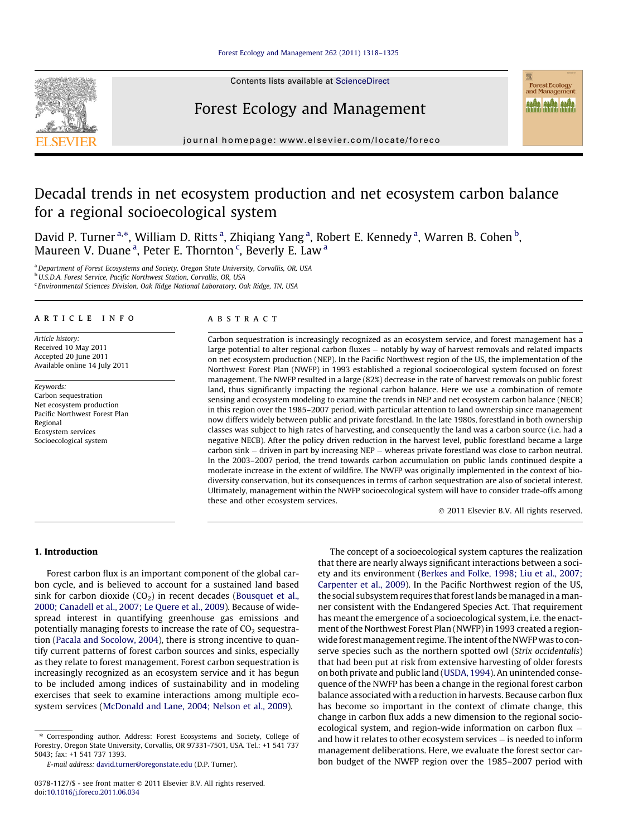Contents lists available at [ScienceDirect](http://www.sciencedirect.com/science/journal/03781127)

# Forest Ecology and Management



journal homepage: [www.elsevier.com/locate/foreco](http://www.elsevier.com/locate/foreco)

# Decadal trends in net ecosystem production and net ecosystem carbon balance for a regional socioecological system

David P. Turner <sup>a,</sup>\*, William D. Ritts <sup>a</sup>, Zhiqiang Yang <sup>a</sup>, Robert E. Kennedy <sup>a</sup>, Warren B. Cohen <sup>b</sup>, Maureen V. Duane<sup>a</sup>, Peter E. Thornton<sup>c</sup>, Beverly E. Law<sup>a</sup>

<sup>a</sup> Department of Forest Ecosystems and Society, Oregon State University, Corvallis, OR, USA

**b** U.S.D.A. Forest Service, Pacific Northwest Station, Corvallis, OR, USA

<sup>c</sup> Environmental Sciences Division, Oak Ridge National Laboratory, Oak Ridge, TN, USA

#### article info

Article history: Received 10 May 2011 Accepted 20 June 2011 Available online 14 July 2011

Keywords: Carbon sequestration Net ecosystem production Pacific Northwest Forest Plan Regional Ecosystem services Socioecological system

# **ABSTRACT**

Carbon sequestration is increasingly recognized as an ecosystem service, and forest management has a large potential to alter regional carbon fluxes — notably by way of harvest removals and related impacts on net ecosystem production (NEP). In the Pacific Northwest region of the US, the implementation of the Northwest Forest Plan (NWFP) in 1993 established a regional socioecological system focused on forest management. The NWFP resulted in a large (82%) decrease in the rate of harvest removals on public forest land, thus significantly impacting the regional carbon balance. Here we use a combination of remote sensing and ecosystem modeling to examine the trends in NEP and net ecosystem carbon balance (NECB) in this region over the 1985–2007 period, with particular attention to land ownership since management now differs widely between public and private forestland. In the late 1980s, forestland in both ownership classes was subject to high rates of harvesting, and consequently the land was a carbon source (i.e. had a negative NECB). After the policy driven reduction in the harvest level, public forestland became a large carbon sink - driven in part by increasing NEP - whereas private forestland was close to carbon neutral. In the 2003–2007 period, the trend towards carbon accumulation on public lands continued despite a moderate increase in the extent of wildfire. The NWFP was originally implemented in the context of biodiversity conservation, but its consequences in terms of carbon sequestration are also of societal interest. Ultimately, management within the NWFP socioecological system will have to consider trade-offs among these and other ecosystem services.

- 2011 Elsevier B.V. All rights reserved.

# 1. Introduction

Forest carbon flux is an important component of the global carbon cycle, and is believed to account for a sustained land based sink for carbon dioxide  $(CO<sub>2</sub>)$  in recent decades [\(Bousquet et al.,](#page-6-0) [2000; Canadell et al., 2007; Le Quere et al., 2009](#page-6-0)). Because of widespread interest in quantifying greenhouse gas emissions and potentially managing forests to increase the rate of  $CO<sub>2</sub>$  sequestration [\(Pacala and Socolow, 2004](#page-6-0)), there is strong incentive to quantify current patterns of forest carbon sources and sinks, especially as they relate to forest management. Forest carbon sequestration is increasingly recognized as an ecosystem service and it has begun to be included among indices of sustainability and in modeling exercises that seek to examine interactions among multiple ecosystem services ([McDonald and Lane, 2004; Nelson et al., 2009\)](#page-6-0).

⇑ Corresponding author. Address: Forest Ecosystems and Society, College of Forestry, Oregon State University, Corvallis, OR 97331-7501, USA. Tel.: +1 541 737 5043; fax: +1 541 737 1393.

The concept of a socioecological system captures the realization that there are nearly always significant interactions between a society and its environment ([Berkes and Folke, 1998; Liu et al., 2007;](#page-5-0) [Carpenter et al., 2009\)](#page-5-0). In the Pacific Northwest region of the US, the social subsystem requires that forest lands be managed in a manner consistent with the Endangered Species Act. That requirement has meant the emergence of a socioecological system, i.e. the enactment of the Northwest Forest Plan (NWFP) in 1993 created a regionwide forest management regime. The intent of the NWFP was to conserve species such as the northern spotted owl (Strix occidentalis) that had been put at risk from extensive harvesting of older forests on both private and public land [\(USDA, 1994\)](#page-7-0). An unintended consequence of the NWFP has been a change in the regional forest carbon balance associated with a reduction in harvests. Because carbon flux has become so important in the context of climate change, this change in carbon flux adds a new dimension to the regional socioecological system, and region-wide information on carbon flux  $$ and how it relates to other ecosystem services – is needed to inform management deliberations. Here, we evaluate the forest sector carbon budget of the NWFP region over the 1985–2007 period with

E-mail address: [david.turner@oregonstate.edu](mailto:david.turner@oregonstate.edu) (D.P. Turner).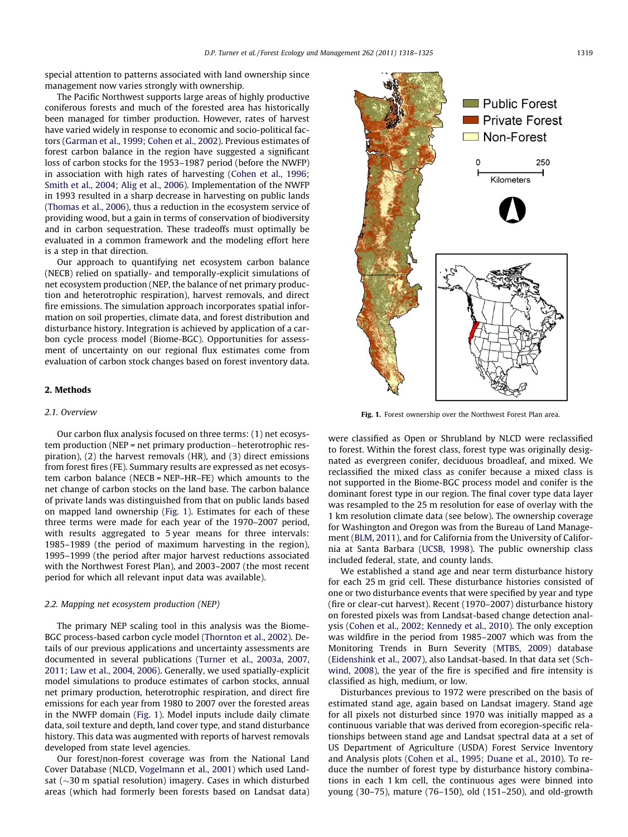<span id="page-1-0"></span>special attention to patterns associated with land ownership since management now varies strongly with ownership.

The Pacific Northwest supports large areas of highly productive coniferous forests and much of the forested area has historically been managed for timber production. However, rates of harvest have varied widely in response to economic and socio-political factors [\(Garman et al., 1999; Cohen et al., 2002\)](#page-6-0). Previous estimates of forest carbon balance in the region have suggested a significant loss of carbon stocks for the 1953–1987 period (before the NWFP) in association with high rates of harvesting [\(Cohen et al., 1996;](#page-6-0) [Smith et al., 2004; Alig et al., 2006](#page-6-0)). Implementation of the NWFP in 1993 resulted in a sharp decrease in harvesting on public lands ([Thomas et al., 2006](#page-7-0)), thus a reduction in the ecosystem service of providing wood, but a gain in terms of conservation of biodiversity and in carbon sequestration. These tradeoffs must optimally be evaluated in a common framework and the modeling effort here is a step in that direction.

Our approach to quantifying net ecosystem carbon balance (NECB) relied on spatially- and temporally-explicit simulations of net ecosystem production (NEP, the balance of net primary production and heterotrophic respiration), harvest removals, and direct fire emissions. The simulation approach incorporates spatial information on soil properties, climate data, and forest distribution and disturbance history. Integration is achieved by application of a carbon cycle process model (Biome-BGC). Opportunities for assessment of uncertainty on our regional flux estimates come from evaluation of carbon stock changes based on forest inventory data.

## 2. Methods

# 2.1. Overview

Our carbon flux analysis focused on three terms: (1) net ecosystem production (NEP = net primary production-heterotrophic respiration), (2) the harvest removals (HR), and (3) direct emissions from forest fires (FE). Summary results are expressed as net ecosystem carbon balance (NECB = NEP–HR–FE) which amounts to the net change of carbon stocks on the land base. The carbon balance of private lands was distinguished from that on public lands based on mapped land ownership (Fig. 1). Estimates for each of these three terms were made for each year of the 1970–2007 period, with results aggregated to 5 year means for three intervals: 1985–1989 (the period of maximum harvesting in the region), 1995–1999 (the period after major harvest reductions associated with the Northwest Forest Plan), and 2003–2007 (the most recent period for which all relevant input data was available).

## 2.2. Mapping net ecosystem production (NEP)

The primary NEP scaling tool in this analysis was the Biome-BGC process-based carbon cycle model [\(Thornton et al., 2002\)](#page-7-0). Details of our previous applications and uncertainty assessments are documented in several publications ([Turner et al., 2003a, 2007,](#page-7-0) [2011; Law et al., 2004, 2006\)](#page-7-0). Generally, we used spatially-explicit model simulations to produce estimates of carbon stocks, annual net primary production, heterotrophic respiration, and direct fire emissions for each year from 1980 to 2007 over the forested areas in the NWFP domain (Fig. 1). Model inputs include daily climate data, soil texture and depth, land cover type, and stand disturbance history. This data was augmented with reports of harvest removals developed from state level agencies.

Our forest/non-forest coverage was from the National Land Cover Database (NLCD, [Vogelmann et al., 2001](#page-7-0)) which used Landsat  $(\sim]30$  m spatial resolution) imagery. Cases in which disturbed areas (which had formerly been forests based on Landsat data)



Fig. 1. Forest ownership over the Northwest Forest Plan area.

were classified as Open or Shrubland by NLCD were reclassified to forest. Within the forest class, forest type was originally designated as evergreen conifer, deciduous broadleaf, and mixed. We reclassified the mixed class as conifer because a mixed class is not supported in the Biome-BGC process model and conifer is the dominant forest type in our region. The final cover type data layer was resampled to the 25 m resolution for ease of overlay with the 1 km resolution climate data (see below). The ownership coverage for Washington and Oregon was from the Bureau of Land Management [\(BLM, 2011\)](#page-6-0), and for California from the University of California at Santa Barbara [\(UCSB, 1998\)](#page-7-0). The public ownership class included federal, state, and county lands.

We established a stand age and near term disturbance history for each 25 m grid cell. These disturbance histories consisted of one or two disturbance events that were specified by year and type (fire or clear-cut harvest). Recent (1970–2007) disturbance history on forested pixels was from Landsat-based change detection analysis [\(Cohen et al., 2002; Kennedy et al., 2010\)](#page-6-0). The only exception was wildfire in the period from 1985–2007 which was from the Monitoring Trends in Burn Severity [\(MTBS, 2009\)](#page-6-0) database ([Eidenshink et al., 2007](#page-6-0)), also Landsat-based. In that data set [\(Sch](#page-7-0)[wind, 2008\)](#page-7-0), the year of the fire is specified and fire intensity is classified as high, medium, or low.

Disturbances previous to 1972 were prescribed on the basis of estimated stand age, again based on Landsat imagery. Stand age for all pixels not disturbed since 1970 was initially mapped as a continuous variable that was derived from ecoregion-specific relationships between stand age and Landsat spectral data at a set of US Department of Agriculture (USDA) Forest Service Inventory and Analysis plots [\(Cohen et al., 1995; Duane et al., 2010\)](#page-6-0). To reduce the number of forest type by disturbance history combinations in each 1 km cell, the continuous ages were binned into young (30–75), mature (76–150), old (151–250), and old-growth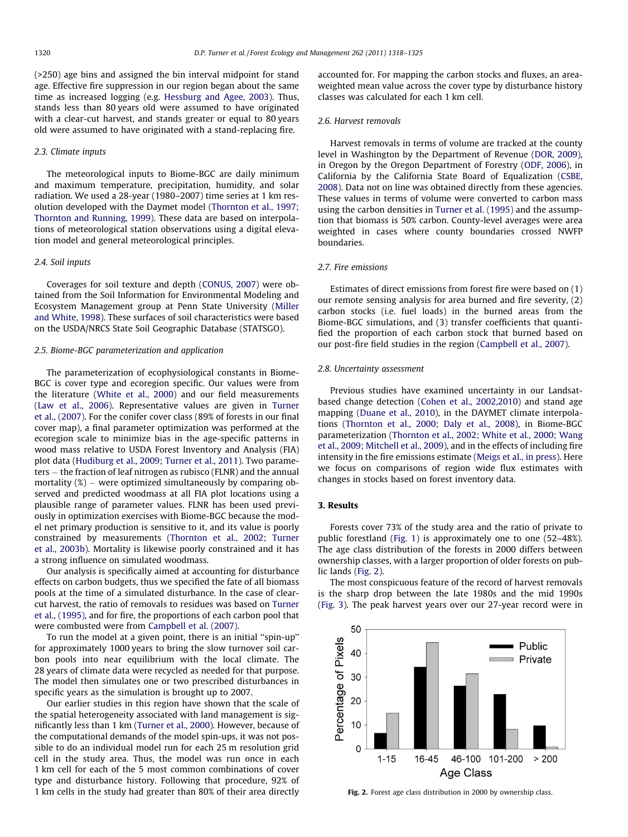(>250) age bins and assigned the bin interval midpoint for stand age. Effective fire suppression in our region began about the same time as increased logging (e.g. [Hessburg and Agee, 2003](#page-6-0)). Thus, stands less than 80 years old were assumed to have originated with a clear-cut harvest, and stands greater or equal to 80 years old were assumed to have originated with a stand-replacing fire.

# 2.3. Climate inputs

The meteorological inputs to Biome-BGC are daily minimum and maximum temperature, precipitation, humidity, and solar radiation. We used a 28-year (1980–2007) time series at 1 km resolution developed with the Daymet model ([Thornton et al., 1997;](#page-7-0) [Thornton and Running, 1999\)](#page-7-0). These data are based on interpolations of meteorological station observations using a digital elevation model and general meteorological principles.

# 2.4. Soil inputs

Coverages for soil texture and depth ([CONUS, 2007\)](#page-6-0) were obtained from the Soil Information for Environmental Modeling and Ecosystem Management group at Penn State University [\(Miller](#page-6-0) [and White, 1998](#page-6-0)). These surfaces of soil characteristics were based on the USDA/NRCS State Soil Geographic Database (STATSGO).

# 2.5. Biome-BGC parameterization and application

The parameterization of ecophysiological constants in Biome-BGC is cover type and ecoregion specific. Our values were from the literature ([White et al., 2000\)](#page-7-0) and our field measurements ([Law et al., 2006](#page-6-0)). Representative values are given in [Turner](#page-7-0) [et al., \(2007\)](#page-7-0). For the conifer cover class (89% of forests in our final cover map), a final parameter optimization was performed at the ecoregion scale to minimize bias in the age-specific patterns in wood mass relative to USDA Forest Inventory and Analysis (FIA) plot data ([Hudiburg et al., 2009; Turner et al., 2011](#page-6-0)). Two parameters – the fraction of leaf nitrogen as rubisco (FLNR) and the annual mortality (%) - were optimized simultaneously by comparing observed and predicted woodmass at all FIA plot locations using a plausible range of parameter values. FLNR has been used previously in optimization exercises with Biome-BGC because the model net primary production is sensitive to it, and its value is poorly constrained by measurements ([Thornton et al., 2002; Turner](#page-7-0) [et al., 2003b](#page-7-0)). Mortality is likewise poorly constrained and it has a strong influence on simulated woodmass.

Our analysis is specifically aimed at accounting for disturbance effects on carbon budgets, thus we specified the fate of all biomass pools at the time of a simulated disturbance. In the case of clearcut harvest, the ratio of removals to residues was based on [Turner](#page-7-0) [et al., \(1995\)](#page-7-0), and for fire, the proportions of each carbon pool that were combusted were from [Campbell et al. \(2007\)](#page-6-0).

To run the model at a given point, there is an initial ''spin-up'' for approximately 1000 years to bring the slow turnover soil carbon pools into near equilibrium with the local climate. The 28 years of climate data were recycled as needed for that purpose. The model then simulates one or two prescribed disturbances in specific years as the simulation is brought up to 2007.

Our earlier studies in this region have shown that the scale of the spatial heterogeneity associated with land management is significantly less than 1 km [\(Turner et al., 2000\)](#page-7-0). However, because of the computational demands of the model spin-ups, it was not possible to do an individual model run for each 25 m resolution grid cell in the study area. Thus, the model was run once in each 1 km cell for each of the 5 most common combinations of cover type and disturbance history. Following that procedure, 92% of 1 km cells in the study had greater than 80% of their area directly accounted for. For mapping the carbon stocks and fluxes, an areaweighted mean value across the cover type by disturbance history classes was calculated for each 1 km cell.

## 2.6. Harvest removals

Harvest removals in terms of volume are tracked at the county level in Washington by the Department of Revenue [\(DOR, 2009\)](#page-6-0), in Oregon by the Oregon Department of Forestry [\(ODF, 2006](#page-6-0)), in California by the California State Board of Equalization [\(CSBE,](#page-6-0) [2008\)](#page-6-0). Data not on line was obtained directly from these agencies. These values in terms of volume were converted to carbon mass using the carbon densities in [Turner et al. \(1995\)](#page-7-0) and the assumption that biomass is 50% carbon. County-level averages were area weighted in cases where county boundaries crossed NWFP boundaries.

#### 2.7. Fire emissions

Estimates of direct emissions from forest fire were based on (1) our remote sensing analysis for area burned and fire severity, (2) carbon stocks (i.e. fuel loads) in the burned areas from the Biome-BGC simulations, and (3) transfer coefficients that quantified the proportion of each carbon stock that burned based on our post-fire field studies in the region ([Campbell et al., 2007\)](#page-6-0).

# 2.8. Uncertainty assessment

Previous studies have examined uncertainty in our Landsatbased change detection [\(Cohen et al., 2002,2010](#page-6-0)) and stand age mapping ([Duane et al., 2010\)](#page-6-0), in the DAYMET climate interpolations [\(Thornton et al., 2000; Daly et al., 2008\)](#page-7-0), in Biome-BGC parameterization [\(Thornton et al., 2002; White et al., 2000; Wang](#page-7-0) [et al., 2009; Mitchell et al., 2009\)](#page-7-0), and in the effects of including fire intensity in the fire emissions estimate [\(Meigs et al., in press\)](#page-6-0). Here we focus on comparisons of region wide flux estimates with changes in stocks based on forest inventory data.

# 3. Results

Forests cover 73% of the study area and the ratio of private to public forestland [\(Fig. 1\)](#page-1-0) is approximately one to one (52–48%). The age class distribution of the forests in 2000 differs between ownership classes, with a larger proportion of older forests on public lands (Fig. 2).

The most conspicuous feature of the record of harvest removals is the sharp drop between the late 1980s and the mid 1990s ([Fig. 3\)](#page-3-0). The peak harvest years over our 27-year record were in



Fig. 2. Forest age class distribution in 2000 by ownership class.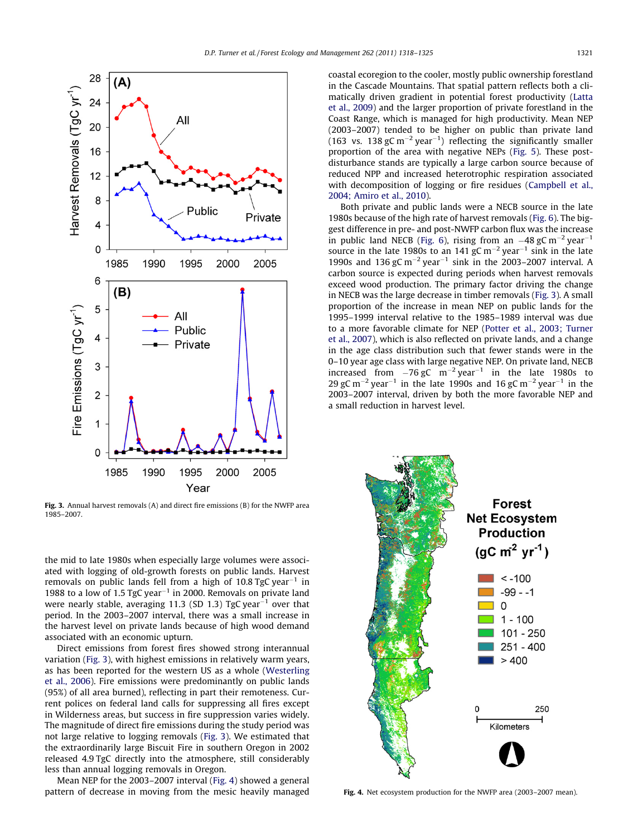<span id="page-3-0"></span>

Fig. 3. Annual harvest removals (A) and direct fire emissions (B) for the NWFP area 1985–2007.

the mid to late 1980s when especially large volumes were associated with logging of old-growth forests on public lands. Harvest removals on public lands fell from a high of 10.8 TgC year $^{-1}$  in 1988 to a low of  $1.5$  TgC year<sup> $-1$ </sup> in 2000. Removals on private land were nearly stable, averaging 11.3 (SD 1.3) TgC year $^{-1}$  over that period. In the 2003–2007 interval, there was a small increase in the harvest level on private lands because of high wood demand associated with an economic upturn.

Direct emissions from forest fires showed strong interannual variation (Fig. 3), with highest emissions in relatively warm years, as has been reported for the western US as a whole [\(Westerling](#page-7-0) [et al., 2006\)](#page-7-0). Fire emissions were predominantly on public lands (95%) of all area burned), reflecting in part their remoteness. Current polices on federal land calls for suppressing all fires except in Wilderness areas, but success in fire suppression varies widely. The magnitude of direct fire emissions during the study period was not large relative to logging removals (Fig. 3). We estimated that the extraordinarily large Biscuit Fire in southern Oregon in 2002 released 4.9 TgC directly into the atmosphere, still considerably less than annual logging removals in Oregon.

Mean NEP for the 2003–2007 interval (Fig. 4) showed a general pattern of decrease in moving from the mesic heavily managed coastal ecoregion to the cooler, mostly public ownership forestland in the Cascade Mountains. That spatial pattern reflects both a climatically driven gradient in potential forest productivity ([Latta](#page-6-0) [et al., 2009\)](#page-6-0) and the larger proportion of private forestland in the Coast Range, which is managed for high productivity. Mean NEP (2003–2007) tended to be higher on public than private land (163 vs. 138 gC m<sup>-2</sup> year<sup>-1</sup>) reflecting the significantly smaller proportion of the area with negative NEPs ([Fig. 5\)](#page-4-0). These postdisturbance stands are typically a large carbon source because of reduced NPP and increased heterotrophic respiration associated with decomposition of logging or fire residues ([Campbell et al.,](#page-6-0) [2004; Amiro et al., 2010\)](#page-6-0).

Both private and public lands were a NECB source in the late 1980s because of the high rate of harvest removals [\(Fig. 6](#page-4-0)). The biggest difference in pre- and post-NWFP carbon flux was the increase in public land NECB [\(Fig. 6](#page-4-0)), rising from an  $-48$  gC m<sup>-2</sup> year<sup>-1</sup> source in the late 1980s to an 141 gC  $\rm m^{-2}$  year<sup>-1</sup> sink in the late 1990s and 136 gC  $m^{-2}$  year<sup>-1</sup> sink in the 2003-2007 interval. A carbon source is expected during periods when harvest removals exceed wood production. The primary factor driving the change in NECB was the large decrease in timber removals (Fig. 3). A small proportion of the increase in mean NEP on public lands for the 1995–1999 interval relative to the 1985–1989 interval was due to a more favorable climate for NEP [\(Potter et al., 2003; Turner](#page-7-0) [et al., 2007](#page-7-0)), which is also reflected on private lands, and a change in the age class distribution such that fewer stands were in the 0–10 year age class with large negative NEP. On private land, NECB increased from  $-76$  gC  $m^{-2}$  year<sup>-1</sup> in the late 1980s to 29 gC m<sup>-2</sup> year<sup>-1</sup> in the late 1990s and 16 gC m<sup>-2</sup> year<sup>-1</sup> in the 2003–2007 interval, driven by both the more favorable NEP and a small reduction in harvest level.



Fig. 4. Net ecosystem production for the NWFP area (2003–2007 mean).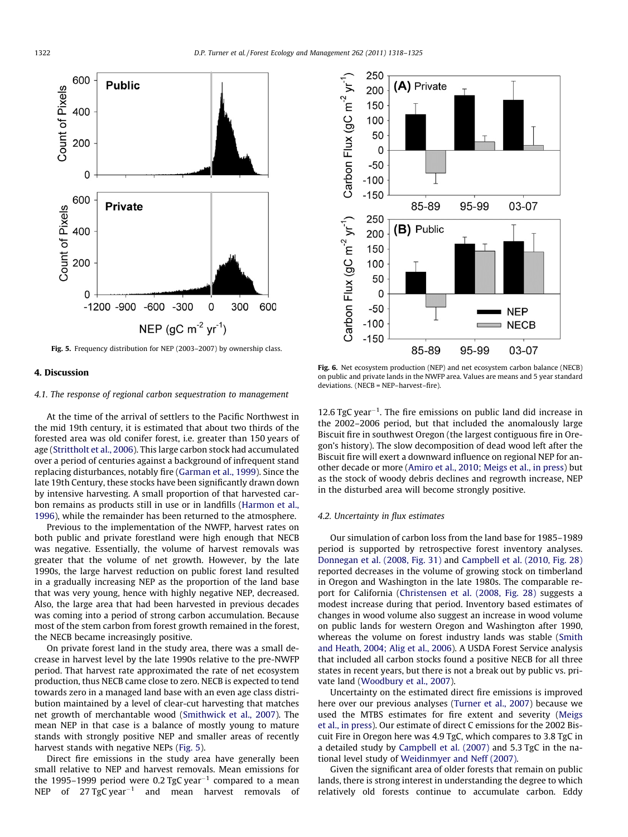<span id="page-4-0"></span>

Fig. 5. Frequency distribution for NEP (2003–2007) by ownership class.



# 4. Discussion

## 4.1. The response of regional carbon sequestration to management

At the time of the arrival of settlers to the Pacific Northwest in the mid 19th century, it is estimated that about two thirds of the forested area was old conifer forest, i.e. greater than 150 years of age [\(Strittholt et al., 2006](#page-7-0)). This large carbon stock had accumulated over a period of centuries against a background of infrequent stand replacing disturbances, notably fire ([Garman et al., 1999\)](#page-6-0). Since the late 19th Century, these stocks have been significantly drawn down by intensive harvesting. A small proportion of that harvested carbon remains as products still in use or in landfills [\(Harmon et al.,](#page-6-0) [1996\)](#page-6-0), while the remainder has been returned to the atmosphere.

Previous to the implementation of the NWFP, harvest rates on both public and private forestland were high enough that NECB was negative. Essentially, the volume of harvest removals was greater that the volume of net growth. However, by the late 1990s, the large harvest reduction on public forest land resulted in a gradually increasing NEP as the proportion of the land base that was very young, hence with highly negative NEP, decreased. Also, the large area that had been harvested in previous decades was coming into a period of strong carbon accumulation. Because most of the stem carbon from forest growth remained in the forest, the NECB became increasingly positive.

On private forest land in the study area, there was a small decrease in harvest level by the late 1990s relative to the pre-NWFP period. That harvest rate approximated the rate of net ecosystem production, thus NECB came close to zero. NECB is expected to tend towards zero in a managed land base with an even age class distribution maintained by a level of clear-cut harvesting that matches net growth of merchantable wood ([Smithwick et al., 2007](#page-7-0)). The mean NEP in that case is a balance of mostly young to mature stands with strongly positive NEP and smaller areas of recently harvest stands with negative NEPs (Fig. 5).

Direct fire emissions in the study area have generally been small relative to NEP and harvest removals. Mean emissions for the 1995–1999 period were 0.2 TgC year $^{-1}$  compared to a mean NEP of 27 $T$ gC $y$ ear $^{-1}$  and mean harvest removals of

Fig. 6. Net ecosystem production (NEP) and net ecosystem carbon balance (NECB) on public and private lands in the NWFP area. Values are means and 5 year standard deviations. (NECB = NEP–harvest–fire).

12.6 TgC year<sup>-1</sup>. The fire emissions on public land did increase in the 2002–2006 period, but that included the anomalously large Biscuit fire in southwest Oregon (the largest contiguous fire in Oregon's history). The slow decomposition of dead wood left after the Biscuit fire will exert a downward influence on regional NEP for another decade or more [\(Amiro et al., 2010; Meigs et al., in press\)](#page-5-0) but as the stock of woody debris declines and regrowth increase, NEP in the disturbed area will become strongly positive.

# 4.2. Uncertainty in flux estimates

Our simulation of carbon loss from the land base for 1985–1989 period is supported by retrospective forest inventory analyses. [Donnegan et al. \(2008, Fig. 31\)](#page-6-0) and [Campbell et al. \(2010, Fig. 28\)](#page-6-0) reported decreases in the volume of growing stock on timberland in Oregon and Washington in the late 1980s. The comparable report for California [\(Christensen et al. \(2008, Fig. 28\)](#page-6-0) suggests a modest increase during that period. Inventory based estimates of changes in wood volume also suggest an increase in wood volume on public lands for western Oregon and Washington after 1990, whereas the volume on forest industry lands was stable [\(Smith](#page-7-0) [and Heath, 2004; Alig et al., 2006](#page-7-0)). A USDA Forest Service analysis that included all carbon stocks found a positive NECB for all three states in recent years, but there is not a break out by public vs. private land ([Woodbury et al., 2007](#page-7-0)).

Uncertainty on the estimated direct fire emissions is improved here over our previous analyses ([Turner et al., 2007](#page-7-0)) because we used the MTBS estimates for fire extent and severity [\(Meigs](#page-6-0) [et al., in press\)](#page-6-0). Our estimate of direct C emissions for the 2002 Biscuit Fire in Oregon here was 4.9 TgC, which compares to 3.8 TgC in a detailed study by [Campbell et al. \(2007\)](#page-6-0) and 5.3 TgC in the national level study of [Weidinmyer and Neff \(2007\)](#page-7-0).

Given the significant area of older forests that remain on public lands, there is strong interest in understanding the degree to which relatively old forests continue to accumulate carbon. Eddy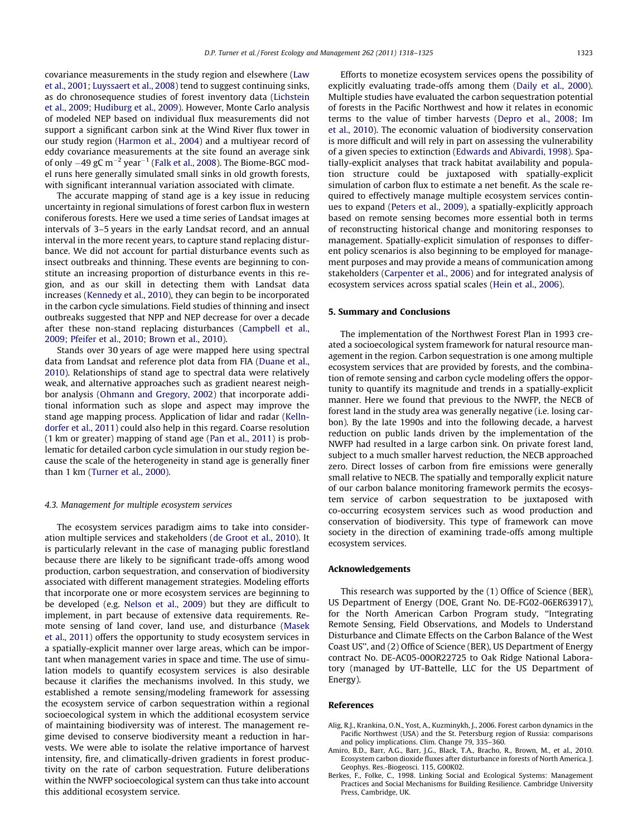<span id="page-5-0"></span>covariance measurements in the study region and elsewhere [\(Law](#page-6-0) [et al., 2001; Luyssaert et al., 2008](#page-6-0)) tend to suggest continuing sinks, as do chronosequence studies of forest inventory data ([Lichstein](#page-6-0) [et al., 2009; Hudiburg et al., 2009](#page-6-0)). However, Monte Carlo analysis of modeled NEP based on individual flux measurements did not support a significant carbon sink at the Wind River flux tower in our study region [\(Harmon et al., 2004\)](#page-6-0) and a multiyear record of eddy covariance measurements at the site found an average sink of only  $-49$  gC m $^{-2}$  year $^{-1}$  ([Falk et al., 2008](#page-6-0)). The Biome-BGC model runs here generally simulated small sinks in old growth forests, with significant interannual variation associated with climate.

The accurate mapping of stand age is a key issue in reducing uncertainty in regional simulations of forest carbon flux in western coniferous forests. Here we used a time series of Landsat images at intervals of 3–5 years in the early Landsat record, and an annual interval in the more recent years, to capture stand replacing disturbance. We did not account for partial disturbance events such as insect outbreaks and thinning. These events are beginning to constitute an increasing proportion of disturbance events in this region, and as our skill in detecting them with Landsat data increases ([Kennedy et al., 2010](#page-6-0)), they can begin to be incorporated in the carbon cycle simulations. Field studies of thinning and insect outbreaks suggested that NPP and NEP decrease for over a decade after these non-stand replacing disturbances [\(Campbell et al.,](#page-6-0) [2009; Pfeifer et al., 2010; Brown et al., 2010](#page-6-0)).

Stands over 30 years of age were mapped here using spectral data from Landsat and reference plot data from FIA ([Duane et al.,](#page-6-0) [2010](#page-6-0)). Relationships of stand age to spectral data were relatively weak, and alternative approaches such as gradient nearest neighbor analysis ([Ohmann and Gregory, 2002](#page-6-0)) that incorporate additional information such as slope and aspect may improve the stand age mapping process. Application of lidar and radar ([Kelln](#page-6-0)[dorfer et al., 2011](#page-6-0)) could also help in this regard. Coarse resolution (1 km or greater) mapping of stand age [\(Pan et al., 2011](#page-7-0)) is problematic for detailed carbon cycle simulation in our study region because the scale of the heterogeneity in stand age is generally finer than 1 km ([Turner et al., 2000\)](#page-7-0).

## 4.3. Management for multiple ecosystem services

The ecosystem services paradigm aims to take into consideration multiple services and stakeholders [\(de Groot et al., 2010](#page-6-0)). It is particularly relevant in the case of managing public forestland because there are likely to be significant trade-offs among wood production, carbon sequestration, and conservation of biodiversity associated with different management strategies. Modeling efforts that incorporate one or more ecosystem services are beginning to be developed (e.g. [Nelson et al., 2009](#page-6-0)) but they are difficult to implement, in part because of extensive data requirements. Remote sensing of land cover, land use, and disturbance [\(Masek](#page-6-0) [et al., 2011\)](#page-6-0) offers the opportunity to study ecosystem services in a spatially-explicit manner over large areas, which can be important when management varies in space and time. The use of simulation models to quantify ecosystem services is also desirable because it clarifies the mechanisms involved. In this study, we established a remote sensing/modeling framework for assessing the ecosystem service of carbon sequestration within a regional socioecological system in which the additional ecosystem service of maintaining biodiversity was of interest. The management regime devised to conserve biodiversity meant a reduction in harvests. We were able to isolate the relative importance of harvest intensity, fire, and climatically-driven gradients in forest productivity on the rate of carbon sequestration. Future deliberations within the NWFP socioecological system can thus take into account this additional ecosystem service.

Efforts to monetize ecosystem services opens the possibility of explicitly evaluating trade-offs among them [\(Daily et al., 2000\)](#page-6-0). Multiple studies have evaluated the carbon sequestration potential of forests in the Pacific Northwest and how it relates in economic terms to the value of timber harvests [\(Depro et al., 2008; Im](#page-6-0) [et al., 2010](#page-6-0)). The economic valuation of biodiversity conservation is more difficult and will rely in part on assessing the vulnerability of a given species to extinction ([Edwards and Abivardi, 1998\)](#page-6-0). Spatially-explicit analyses that track habitat availability and population structure could be juxtaposed with spatially-explicit simulation of carbon flux to estimate a net benefit. As the scale required to effectively manage multiple ecosystem services continues to expand [\(Peters et al., 2009\)](#page-7-0), a spatially-explicitly approach based on remote sensing becomes more essential both in terms of reconstructing historical change and monitoring responses to management. Spatially-explicit simulation of responses to different policy scenarios is also beginning to be employed for management purposes and may provide a means of communication among stakeholders ([Carpenter et al., 2006](#page-6-0)) and for integrated analysis of ecosystem services across spatial scales ([Hein et al., 2006](#page-6-0)).

# 5. Summary and Conclusions

The implementation of the Northwest Forest Plan in 1993 created a socioecological system framework for natural resource management in the region. Carbon sequestration is one among multiple ecosystem services that are provided by forests, and the combination of remote sensing and carbon cycle modeling offers the opportunity to quantify its magnitude and trends in a spatially-explicit manner. Here we found that previous to the NWFP, the NECB of forest land in the study area was generally negative (i.e. losing carbon). By the late 1990s and into the following decade, a harvest reduction on public lands driven by the implementation of the NWFP had resulted in a large carbon sink. On private forest land, subject to a much smaller harvest reduction, the NECB approached zero. Direct losses of carbon from fire emissions were generally small relative to NECB. The spatially and temporally explicit nature of our carbon balance monitoring framework permits the ecosystem service of carbon sequestration to be juxtaposed with co-occurring ecosystem services such as wood production and conservation of biodiversity. This type of framework can move society in the direction of examining trade-offs among multiple ecosystem services.

## Acknowledgements

This research was supported by the (1) Office of Science (BER), US Department of Energy (DOE, Grant No. DE-FG02-06ER63917), for the North American Carbon Program study, ''Integrating Remote Sensing, Field Observations, and Models to Understand Disturbance and Climate Effects on the Carbon Balance of the West Coast US'', and (2) Office of Science (BER), US Department of Energy contract No. DE-AC05-00OR22725 to Oak Ridge National Laboratory (managed by UT-Battelle, LLC for the US Department of Energy).

#### References

- Alig, R.J., Krankina, O.N., Yost, A., Kuzminykh, J., 2006. Forest carbon dynamics in the Pacific Northwest (USA) and the St. Petersburg region of Russia: comparisons and policy implications. Clim. Change 79, 335–360.
- Amiro, B.D., Barr, A.G., Barr, J.G., Black, T.A., Bracho, R., Brown, M., et al., 2010. Ecosystem carbon dioxide fluxes after disturbance in forests of North America. J. Geophys. Res.-Biogeosci. 115, G00K02.
- Berkes, F., Folke, C., 1998. Linking Social and Ecological Systems: Management Practices and Social Mechanisms for Building Resilience. Cambridge University Press, Cambridge, UK.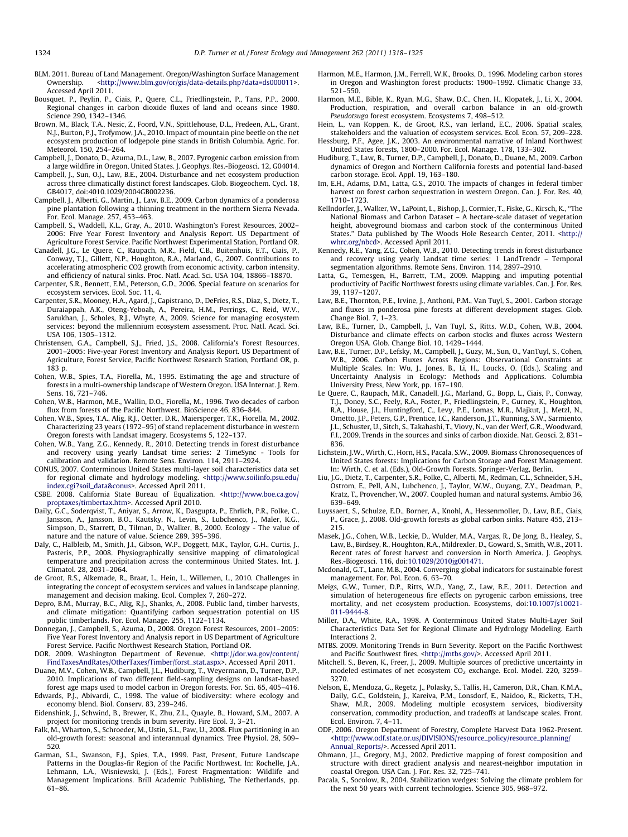- <span id="page-6-0"></span>BLM. 2011. Bureau of Land Management. Oregon/Washington Surface Management Ownership. <[http://www.blm.gov/or/gis/data-details.php?data=ds000011>](http://www.blm.gov/or/gis/data-details.php?data=ds000011). Accessed April 2011.
- Bousquet, P., Peylin, P., Ciais, P., Quere, C.L., Friedlingstein, P., Tans, P.P., 2000. Regional changes in carbon dioxide fluxes of land and oceans since 1980. Science 290, 1342–1346.
- Brown, M., Black, T.A., Nesic, Z., Foord, V.N., Spittlehouse, D.L., Fredeen, A.L., Grant, N.J., Burton, P.J., Trofymow, J.A., 2010. Impact of mountain pine beetle on the net ecosystem production of lodgepole pine stands in British Columbia. Agric. For. Meteorol. 150, 254–264.
- Campbell, J., Donato, D., Azuma, D.L., Law, B., 2007. Pyrogenic carbon emission from a large wildfire in Oregon, United States. J. Geophys. Res.-Biogeosci. 12, G04014.
- Campbell, J., Sun, O.J., Law, B.E., 2004. Disturbance and net ecosystem production across three climatically distinct forest landscapes. Glob. Biogeochem. Cycl. 18, GB4017, doi:4010.1029/2004GB002236.
- Campbell, J., Alberti, G., Martin, J., Law, B.E., 2009. Carbon dynamics of a ponderosa pine plantation following a thinning treatment in the northern Sierra Nevada. For. Ecol. Manage. 257, 453–463.
- Campbell, S., Waddell, K.L., Gray, A., 2010. Washington's Forest Resources, 2002– 2006: Five Year Forest Inventory and Analysis Report. US Department of Agriculture Forest Service. Pacific Northwest Experimental Station, Portland OR.
- Canadell, J.G., Le Quere, C., Raupach, M.R., Field, C.B., Buitenhuis, E.T., Ciais, P., Conway, T.J., Gillett, N.P., Houghton, R.A., Marland, G., 2007. Contributions to accelerating atmospheric CO2 growth from economic activity, carbon intensity, and efficiency of natural sinks. Proc. Natl. Acad. Sci. USA 104, 18866–18870.
- Carpenter, S.R., Bennett, E.M., Peterson, G.D., 2006. Special feature on scenarios for ecosystem services. Ecol. Soc. 11, 4.
- Carpenter, S.R., Mooney, H.A., Agard, J., Capistrano, D., DeFries, R.S., Diaz, S., Dietz, T., Duraiappah, A.K., Oteng-Yeboah, A., Pereira, H.M., Perrings, C., Reid, W.V., Sarukhan, J., Scholes, R.J., Whyte, A., 2009. Science for managing ecosystem services: beyond the millennium ecosystem assessment. Proc. Natl. Acad. Sci. USA 106, 1305–1312.
- Christensen, G.A., Campbell, S.J., Fried, J.S., 2008. California's Forest Resources, 2001–2005: Five-year Forest Inventory and Analysis Report. US Department of Agriculture, Forest Service, Pacific Northwest Research Station, Portland OR, p. 183 p.
- Cohen, W.B., Spies, T.A., Fiorella, M., 1995. Estimating the age and structure of forests in a multi-ownership landscape of Western Oregon. USA Internat. J. Rem. Sens. 16, 721–746.
- Cohen, W.B., Harmon, M.E., Wallin, D.O., Fiorella, M., 1996. Two decades of carbon flux from forests of the Pacific Northwest. BioScience 46, 836–844.
- Cohen, W.B., Spies, T.A., Alig, R.J., Oetter, D.R., Maiersperger, T.K., Fiorella, M., 2002. Characterizing 23 years (1972–95) of stand replacement disturbance in western Oregon forests with Landsat imagery. Ecosystems 5, 122–137.
- Cohen, W.B., Yang, Z.G., Kennedy, R., 2010. Detecting trends in forest disturbance and recovery using yearly Landsat time series: 2 TimeSync - Tools for calibration and validation. Remote Sens. Environ. 114, 2911–2924.
- CONUS, 2007. Conterminous United States multi-layer soil characteristics data set for regional climate and hydrology modeling. <[http://www.soilinfo.psu.edu/](http://www.soilinfo.psu.edu/index.cgi?soil_data&conus) [index.cgi?soil\\_data&conus](http://www.soilinfo.psu.edu/index.cgi?soil_data&conus)>. Accessed April 2011.
- CSBE. 2008. California State Bureau of Equalization. [<http://www.boe.ca.gov/](http://www.boe.ca.gov/proptaxes/timbertax.htm) [proptaxes/timbertax.htm>](http://www.boe.ca.gov/proptaxes/timbertax.htm). Accessed April 2010.
- Daily, G.C., Soderqvist, T., Aniyar, S., Arrow, K., Dasgupta, P., Ehrlich, P.R., Folke, C., Jansson, A., Jansson, B.O., Kautsky, N., Levin, S., Lubchenco, J., Maler, K.G., Simpson, D., Starrett, D., Tilman, D., Walker, B., 2000. Ecology - The value of nature and the nature of value. Science 289, 395–396.
- Daly, C., Halbleib, M., Smith, J.I., Gibson, W.P., Doggett, M.K., Taylor, G.H., Curtis, J., Pasteris, P.P., 2008. Physiographically sensitive mapping of climatological temperature and precipitation across the conterminous United States. Int. J. Climatol. 28, 2031–2064.
- de Groot, R.S., Alkemade, R., Braat, L., Hein, L., Willemen, L., 2010. Challenges in integrating the concept of ecosystem services and values in landscape planning, management and decision making. Ecol. Complex 7, 260–272.
- Depro, B.M., Murray, B.C., Alig, R.J., Shanks, A., 2008. Public land, timber harvests, and climate mitigation: Quantifying carbon sequestration potential on US public timberlands. For. Ecol. Manage. 255, 1122–1134.
- Donnegan, J., Campbell, S., Azuma, D., 2008. Oregon Forest Resources, 2001–2005: Five Year Forest Inventory and Analysis report in US Department of Agriculture Forest Service. Pacific Northwest Research Station, Portland OR.
- DOR. 2009. Washington Department of Revenue. [<http://dor.wa.gov/content/](http://dor.wa.gov/content/FindTaxesAndRates/OtherTaxes/Timber/forst_stat.aspx) [FindTaxesAndRates/OtherTaxes/Timber/forst\\_stat.aspx>](http://dor.wa.gov/content/FindTaxesAndRates/OtherTaxes/Timber/forst_stat.aspx). Accessed April 2011.
- Duane, M.V., Cohen, W.B., Campbell, J.L., Hudiburg, T., Weyermann, D., Turner, D.P., 2010. Implications of two different field-sampling designs on landsat-based forest age maps used to model carbon in Oregon forests. For. Sci. 65, 405–416.
- Edwards, P.J., Abivardi, C., 1998. The value of biodiversity: where ecology and economy blend. Biol. Conserv. 83, 239–246.
- Eidenshink, J., Schwind, B., Brewer, K., Zhu, Z.L., Quayle, B., Howard, S.M., 2007. A project for monitoring trends in burn severity. Fire Ecol. 3, 3–21.
- Falk, M., Wharton, S., Schroeder, M., Ustin, S.L., Paw, U., 2008. Flux partitioning in an old-growth forest: seasonal and interannual dynamics. Tree Physiol. 28, 509– 520.
- Garman, S.L., Swanson, F.J., Spies, T.A., 1999. Past, Present, Future Landscape Patterns in the Douglas-fir Region of the Pacific Northwest. In: Rochelle, J.A., Lehmann, L.A., Wisniewski, J. (Eds.), Forest Fragmentation: Wildlife and Management Implications. Brill Academic Publishing, The Netherlands, pp. 61–86.
- Harmon, M.E., Harmon, J.M., Ferrell, W.K., Brooks, D., 1996. Modeling carbon stores in Oregon and Washington forest products: 1900–1992. Climatic Change 33, 521–550.
- Harmon, M.E., Bible, K., Ryan, M.G., Shaw, D.C., Chen, H., Klopatek, J., Li, X., 2004. Production, respiration, and overall carbon balance in an old-growth Pseudotsuga forest ecosystem. Ecosystems 7, 498–512.
- Hein, L., van Koppen, K., de Groot, R.S., van Ierland, E.C., 2006. Spatial scales, stakeholders and the valuation of ecosystem services. Ecol. Econ. 57, 209–228.
- Hessburg, P.F., Agee, J.K., 2003. An environmental narrative of Inland Northwest United States forests, 1800–2000. For. Ecol. Manage. 178, 133–302.
- Hudiburg, T., Law, B., Turner, D.P., Campbell, J., Donato, D., Duane, M., 2009. Carbon dynamics of Oregon and Northern California forests and potential land-based carbon storage. Ecol. Appl. 19, 163–180.
- Im, E.H., Adams, D.M., Latta, G.S., 2010. The impacts of changes in federal timber harvest on forest carbon sequestration in western Oregon. Can. J. For. Res. 40, 1710–1723.
- Kellndorfer, J., Walker, W., LaPoint, L., Bishop, J., Cormier, T., Fiske, G., Kirsch, K., ''The National Biomass and Carbon Dataset – A hectare-scale dataset of vegetation height, aboveground biomass and carbon stock of the conterminous United States." Data published by The Woods Hole Research Center, 2011. [<http://](http://whrc.org/nbcd) [whrc.org/nbcd>](http://whrc.org/nbcd). Accessed April 2011.
- Kennedy, R.E., Yang, Z.G., Cohen, W.B., 2010. Detecting trends in forest disturbance and recovery using yearly Landsat time series: 1 LandTrendr – Temporal segmentation algorithms. Remote Sens. Environ. 114, 2897–2910.
- Latta, G., Temesgen, H., Barrett, T.M., 2009. Mapping and imputing potential productivity of Pacific Northwest forests using climate variables. Can. J. For. Res. 39, 1197–1207.
- Law, B.E., Thornton, P.E., Irvine, J., Anthoni, P.M., Van Tuyl, S., 2001. Carbon storage and fluxes in ponderosa pine forests at different development stages. Glob. Change Biol. 7, 1–23.
- Law, B.E., Turner, D., Campbell, J., Van Tuyl, S., Ritts, W.D., Cohen, W.B., 2004. Disturbance and climate effects on carbon stocks and fluxes across Western Oregon USA. Glob. Change Biol. 10, 1429–1444.
- Law, B.E., Turner, D.P., Lefsky, M., Campbell, J., Guzy, M., Sun, O., VanTuyl, S., Cohen, W.B., 2006. Carbon Fluxes Across Regions: Observational Constraints at Multiple Scales. In: Wu, J., Jones, B., Li, H., Loucks, O. (Eds.), Scaling and Uncertainty Analysis in Ecology: Methods and Applications. Columbia University Press, New York, pp. 167–190.
- Le Quere, C., Raupach, M.R., Canadell, J.G., Marland, G., Bopp, L., Ciais, P., Conway, T.J., Doney, S.C., Feely, R.A., Foster, P., Friedlingstein, P., Gurney, K., Houghton, R.A., House, J.I., Huntingford, C., Levy, P.E., Lomas, M.R., Majkut, J., Metzl, N., Ometto, J.P., Peters, G.P., Prentice, I.C., Randerson, J.T., Running, S.W., Sarmiento, J.L., Schuster, U., Sitch, S., Takahashi, T., Viovy, N., van der Werf, G.R., Woodward, F.I., 2009. Trends in the sources and sinks of carbon dioxide. Nat. Geosci. 2, 831– 836.
- Lichstein, J.W., Wirth, C., Horn, H.S., Pacala, S.W., 2009. Biomass Chronosequences of United States forests: Implications for Carbon Storage and Forest Management. In: Wirth, C. et al. (Eds.), Old-Growth Forests. Springer-Verlag, Berlin.
- Liu, J.G., Dietz, T., Carpenter, S.R., Folke, C., Alberti, M., Redman, C.L., Schneider, S.H., Ostrom, E., Pell, A.N., Lubchenco, J., Taylor, W.W., Ouyang, Z.Y., Deadman, P., Kratz, T., Provencher, W., 2007. Coupled human and natural systems. Ambio 36, 639–649.
- Luyssaert, S., Schulze, E.D., Borner, A., Knohl, A., Hessenmoller, D., Law, B.E., Ciais, P., Grace, J., 2008. Old-growth forests as global carbon sinks. Nature 455, 213– 215.
- Masek, J.G., Cohen, W.B., Leckie, D., Wulder, M.A., Vargas, R., De Jong, B., Healey, S., Law, B., Birdsey, R., Houghton, R.A., Mildrexler, D., Goward, S., Smith, W.B., 2011. Recent rates of forest harvest and conversion in North America. J. Geophys. Res.-Biogeosci. 116, doi[:10.1029/2010jg001471.](http://dx.doi.org/10.1029/2010jg001471)
- Mcdonald, G.T., Lane, M.B., 2004. Converging global indicators for sustainable forest management. For. Pol. Econ. 6, 63–70.
- Meigs, G.W., Turner, D.P., Ritts, W.D., Yang, Z., Law, B.E., 2011. Detection and simulation of heterogeneous fire effects on pyrogenic carbon emissions, tree mortality, and net ecosystem production. Ecosystems, doi:[10.1007/s10021-](http://dx.doi.org/10.1007/s10021-011-9444-8) [011-9444-8.](http://dx.doi.org/10.1007/s10021-011-9444-8)
- Miller, D.A., White, R.A., 1998. A Conterminous United States Multi-Layer Soil Characteristics Data Set for Regional Climate and Hydrology Modeling. Earth Interactions 2.
- MTBS. 2009. Monitoring Trends in Burn Severity. Report on the Pacific Northwest
- and Pacific Southwest fires. <[http://mtbs.gov/>](http://mtbs.gov/). Accessed April 2011. Mitchell, S., Beven, K., Freer, J., 2009. Multiple sources of predictive uncertainty in modeled estimates of net ecosystem  $CO<sub>2</sub>$  exchange. Ecol. Model. 220, 3259-3270.
- Nelson, E., Mendoza, G., Regetz, J., Polasky, S., Tallis, H., Cameron, D.R., Chan, K.M.A., Daily, G.C., Goldstein, J., Kareiva, P.M., Lonsdorf, E., Naidoo, R., Ricketts, T.H., Shaw, M.R., 2009. Modeling multiple ecosystem services, biodiversity conservation, commodity production, and tradeoffs at landscape scales. Front. Ecol. Environ. 7, 4–11.
- ODF, 2006. Oregon Department of Forestry, Complete Harvest Data 1962-Present. [<http://www.odf.state.or.us/DIVISIONS/resource\\_policy/resource\\_planning/](http://www.odf.state.or.us/DIVISIONS/resource_policy/resource_planning/Annual_Reports/) [Annual\\_Reports/>](http://www.odf.state.or.us/DIVISIONS/resource_policy/resource_planning/Annual_Reports/). Accessed April 2011.
- Ohmann, J.L., Gregory, M.J., 2002. Predictive mapping of forest composition and structure with direct gradient analysis and nearest-neighbor imputation in coastal Oregon. USA Can. J. For. Res. 32, 725–741.
- Pacala, S., Socolow, R., 2004. Stabilization wedges: Solving the climate problem for the next 50 years with current technologies. Science 305, 968–972.